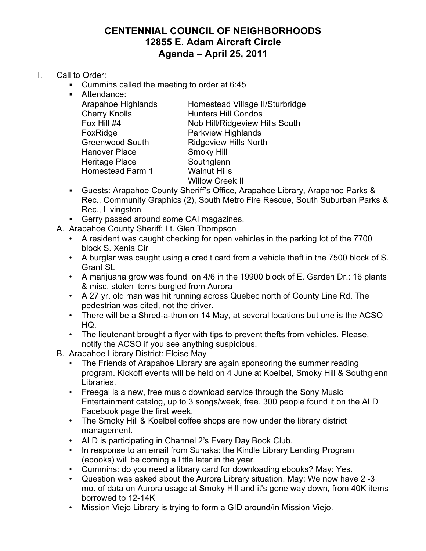## **CENTENNIAL COUNCIL OF NEIGHBORHOODS 12855 E. Adam Aircraft Circle Agenda – April 25, 2011**

- I. Call to Order:
	- ! Cummins called the meeting to order at 6:45
	- ! Attendance: Cherry Knolls Hunters Hill Condos FoxRidge **Parkview Highlands** Greenwood South Ridgeview Hills North Hanover Place Smoky Hill Heritage Place Southglenn Homestead Farm 1 Walnut Hills

Arapahoe Highlands Homestead Village II/Sturbridge Fox Hill #4 Nob Hill/Ridgeview Hills South Willow Creek II

- ! Guests: Arapahoe County Sheriff's Office, Arapahoe Library, Arapahoe Parks & Rec., Community Graphics (2), South Metro Fire Rescue, South Suburban Parks & Rec., Livingston
- ! Gerry passed around some CAI magazines.
- A. Arapahoe County Sheriff: Lt. Glen Thompson
	- A resident was caught checking for open vehicles in the parking lot of the 7700 block S. Xenia Cir
	- A burglar was caught using a credit card from a vehicle theft in the 7500 block of S. Grant St.
	- A marijuana grow was found on 4/6 in the 19900 block of E. Garden Dr.: 16 plants & misc. stolen items burgled from Aurora
	- A 27 yr. old man was hit running across Quebec north of County Line Rd. The pedestrian was cited, not the driver.
	- There will be a Shred-a-thon on 14 May, at several locations but one is the ACSO HQ.
	- The lieutenant brought a flyer with tips to prevent thefts from vehicles. Please, notify the ACSO if you see anything suspicious.
- B. Arapahoe Library District: Eloise May
	- The Friends of Arapahoe Library are again sponsoring the summer reading program. Kickoff events will be held on 4 June at Koelbel, Smoky Hill & Southglenn Libraries.
	- Freegal is a new, free music download service through the Sony Music Entertainment catalog, up to 3 songs/week, free. 300 people found it on the ALD Facebook page the first week.
	- The Smoky Hill & Koelbel coffee shops are now under the library district management.
	- ALD is participating in Channel 2's Every Day Book Club.
	- In response to an email from Suhaka: the Kindle Library Lending Program (ebooks) will be coming a little later in the year.
	- Cummins: do you need a library card for downloading ebooks? May: Yes.
	- Question was asked about the Aurora Library situation. May: We now have 2 -3 mo. of data on Aurora usage at Smoky Hill and it's gone way down, from 40K items borrowed to 12-14K
	- Mission Viejo Library is trying to form a GID around/in Mission Viejo.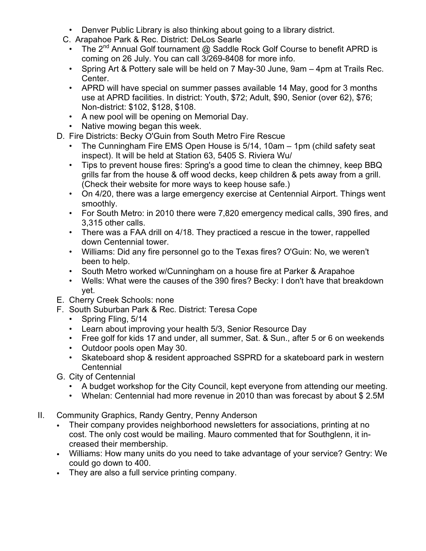- Denver Public Library is also thinking about going to a library district.
- C. Arapahoe Park & Rec. District: DeLos Searle
	- The  $2^{nd}$  Annual Golf tournament  $@$  Saddle Rock Golf Course to benefit APRD is coming on 26 July. You can call 3/269-8408 for more info.
	- Spring Art & Pottery sale will be held on 7 May-30 June, 9am 4pm at Trails Rec. Center.
	- APRD will have special on summer passes available 14 May, good for 3 months use at APRD facilities. In district: Youth, \$72; Adult, \$90, Senior (over 62), \$76; Non-district: \$102, \$128, \$108.
	- A new pool will be opening on Memorial Day.
	- Native mowing began this week.
- D. Fire Districts: Becky O'Guin from South Metro Fire Rescue
	- The Cunningham Fire EMS Open House is 5/14, 10am 1pm (child safety seat inspect). It will be held at Station 63, 5405 S. Riviera Wu/
	- Tips to prevent house fires: Spring's a good time to clean the chimney, keep BBQ grills far from the house & off wood decks, keep children & pets away from a grill. (Check their website for more ways to keep house safe.)
	- On 4/20, there was a large emergency exercise at Centennial Airport. Things went smoothly.
	- For South Metro: in 2010 there were 7,820 emergency medical calls, 390 fires, and 3,315 other calls.
	- There was a FAA drill on 4/18. They practiced a rescue in the tower, rappelled down Centennial tower.
	- Williams: Did any fire personnel go to the Texas fires? O'Guin: No, we weren't been to help.
	- South Metro worked w/Cunningham on a house fire at Parker & Arapahoe
	- Wells: What were the causes of the 390 fires? Becky: I don't have that breakdown yet.
- E. Cherry Creek Schools: none
- F. South Suburban Park & Rec. District: Teresa Cope
	- Spring Fling, 5/14
	- Learn about improving your health 5/3, Senior Resource Day
	- Free golf for kids 17 and under, all summer, Sat. & Sun., after 5 or 6 on weekends
	- Outdoor pools open May 30.
	- Skateboard shop & resident approached SSPRD for a skateboard park in western **Centennial**
- G. City of Centennial
	- A budget workshop for the City Council, kept everyone from attending our meeting.
	- Whelan: Centennial had more revenue in 2010 than was forecast by about \$ 2.5M
- II. Community Graphics, Randy Gentry, Penny Anderson
	- Their company provides neighborhood newsletters for associations, printing at no cost. The only cost would be mailing. Mauro commented that for Southglenn, it increased their membership.
	- Williams: How many units do you need to take advantage of your service? Gentry: We could go down to 400.
	- They are also a full service printing company.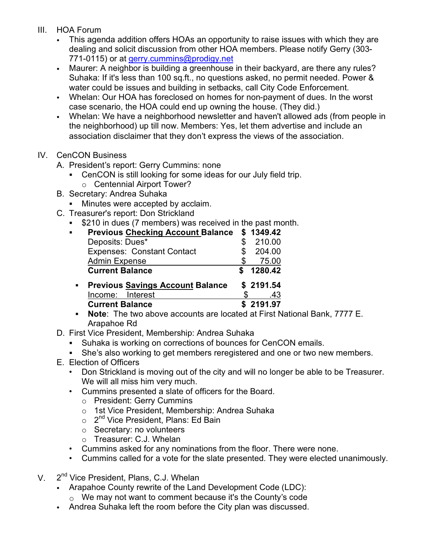- III. HOA Forum
	- This agenda addition offers HOAs an opportunity to raise issues with which they are dealing and solicit discussion from other HOA members. Please notify Gerry (303- 771-0115) or at gerry.cummins@prodigy.net
	- Maurer: A neighbor is building a greenhouse in their backyard, are there any rules? Suhaka: If it's less than 100 sq.ft., no questions asked, no permit needed. Power & water could be issues and building in setbacks, call City Code Enforcement.
	- Whelan: Our HOA has foreclosed on homes for non-payment of dues. In the worst case scenario, the HOA could end up owning the house. (They did.)
	- Whelan: We have a neighborhood newsletter and haven't allowed ads (from people in the neighborhood) up till now. Members: Yes, let them advertise and include an association disclaimer that they don't express the views of the association.
- IV. CenCON Business
	- A. President's report: Gerry Cummins: none
		- ! CenCON is still looking for some ideas for our July field trip.
			- o Centennial Airport Tower?
	- B. Secretary: Andrea Suhaka
		- **If** Minutes were accepted by acclaim.
	- C. Treasurer's report: Don Strickland
		- ! \$210 in dues (7 members) was received in the past month.

| ٠ | <b>Previous Checking Account Balance</b> | \$1349.42 |
|---|------------------------------------------|-----------|
|   | Deposits: Dues*                          | 210.00    |
|   | <b>Expenses: Constant Contact</b>        | 204.00    |
|   | <b>Admin Expense</b>                     | 75.00     |
|   | <b>Current Balance</b>                   | 1280.42   |
|   | <b>Previous Savings Account Balance</b>  | \$2191.54 |
|   | Income: Interest                         | .43       |
|   | <b>Current Balance</b>                   | \$2191.97 |
|   |                                          |           |

! **Note**: The two above accounts are located at First National Bank, 7777 E. Arapahoe Rd

- D. First Vice President, Membership: Andrea Suhaka
	- ! Suhaka is working on corrections of bounces for CenCON emails.
	- . She's also working to get members reregistered and one or two new members.
- E. Election of Officers
	- Don Strickland is moving out of the city and will no longer be able to be Treasurer. We will all miss him very much.
	- Cummins presented a slate of officers for the Board.
		- o President: Gerry Cummins
		- o 1st Vice President, Membership: Andrea Suhaka
		- $\circ$  2<sup>nd</sup> Vice President, Plans: Ed Bain
		- o Secretary: no volunteers
		- o Treasurer: C.J. Whelan
	- Cummins asked for any nominations from the floor. There were none.
	- Cummins called for a vote for the slate presented. They were elected unanimously.
- V. 2<sup>nd</sup> Vice President, Plans, C.J. Whelan
	- Arapahoe County rewrite of the Land Development Code (LDC):
		- $\circ$  We may not want to comment because it's the County's code
	- Andrea Suhaka left the room before the City plan was discussed.